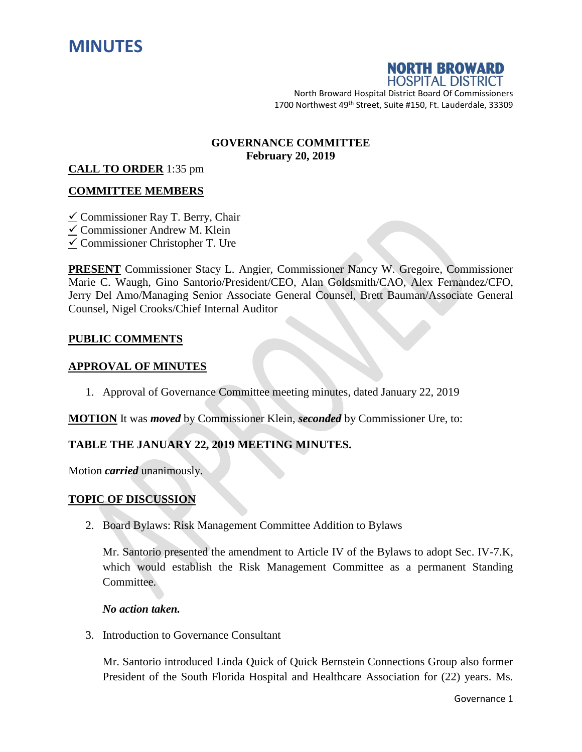



North Broward Hospital District Board Of Commissioners 1700 Northwest 49<sup>th</sup> Street, Suite #150, Ft. Lauderdale, 33309

#### **GOVERNANCE COMMITTEE February 20, 2019**

#### **CALL TO ORDER** 1:35 pm

## **COMMITTEE MEMBERS**

 $\checkmark$  Commissioner Ray T. Berry, Chair Commissioner Andrew M. Klein  $\checkmark$  Commissioner Christopher T. Ure

**PRESENT** Commissioner Stacy L. Angier, Commissioner Nancy W. Gregoire, Commissioner Marie C. Waugh, Gino Santorio/President/CEO, Alan Goldsmith/CAO, Alex Fernandez/CFO, Jerry Del Amo/Managing Senior Associate General Counsel, Brett Bauman/Associate General Counsel, Nigel Crooks/Chief Internal Auditor

## **PUBLIC COMMENTS**

## **APPROVAL OF MINUTES**

1. Approval of Governance Committee meeting minutes, dated January 22, 2019

**MOTION** It was *moved* by Commissioner Klein, *seconded* by Commissioner Ure, to:

## **TABLE THE JANUARY 22, 2019 MEETING MINUTES.**

Motion *carried* unanimously.

## **TOPIC OF DISCUSSION**

2. Board Bylaws: Risk Management Committee Addition to Bylaws

Mr. Santorio presented the amendment to Article IV of the Bylaws to adopt Sec. IV-7.K, which would establish the Risk Management Committee as a permanent Standing Committee.

#### *No action taken.*

3. Introduction to Governance Consultant

Mr. Santorio introduced Linda Quick of Quick Bernstein Connections Group also former President of the South Florida Hospital and Healthcare Association for (22) years. Ms.